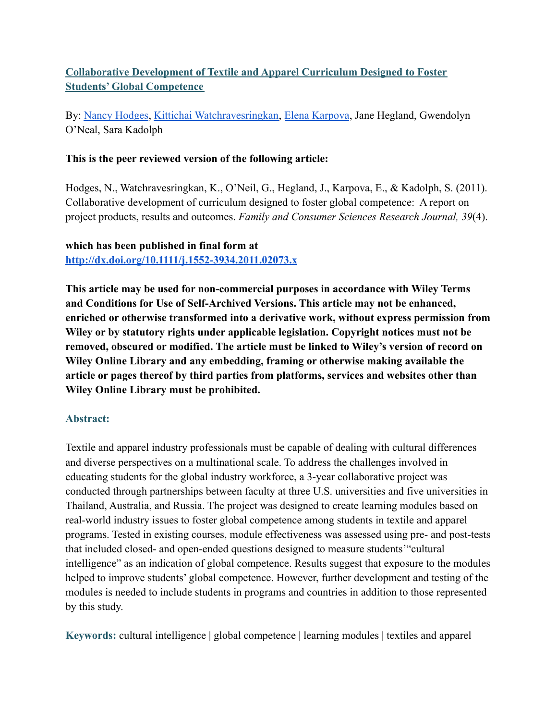# **Collaborative Development of Textile and Apparel Curriculum Designed to Foster Students' Global Competence**

By: [Nancy Hodges](http://libres.uncg.edu/ir/uncg/clist.aspx?id=1365), [Kittichai Watchravesringkan,](http://libres.uncg.edu/ir/uncg/clist.aspx?id=1201) Elena [Karpova](http://libres.uncg.edu/ir/uncg/clist.aspx?id=25598), Jane Hegland, Gwendolyn O'Neal, Sara Kadolph

### **This is the peer reviewed version of the following article:**

Hodges, N., Watchravesringkan, K., O'Neil, G., Hegland, J., Karpova, E., & Kadolph, S. (2011). Collaborative development of curriculum designed to foster global competence: A report on project products, results and outcomes. *Family and Consumer Sciences Research Journal, 39*(4).

# **which has been published in final form at**

### **<http://dx.doi.org/10.1111/j.1552-3934.2011.02073.x>**

**This article may be used for non-commercial purposes in accordance with Wiley Terms and Conditions for Use of Self-Archived Versions. This article may not be enhanced, enriched or otherwise transformed into a derivative work, without express permission from Wiley or by statutory rights under applicable legislation. Copyright notices must not be removed, obscured or modified. The article must be linked to Wiley's version of record on Wiley Online Library and any embedding, framing or otherwise making available the article or pages thereof by third parties from platforms, services and websites other than Wiley Online Library must be prohibited.**

### **Abstract:**

Textile and apparel industry professionals must be capable of dealing with cultural differences and diverse perspectives on a multinational scale. To address the challenges involved in educating students for the global industry workforce, a 3-year collaborative project was conducted through partnerships between faculty at three U.S. universities and five universities in Thailand, Australia, and Russia. The project was designed to create learning modules based on real-world industry issues to foster global competence among students in textile and apparel programs. Tested in existing courses, module effectiveness was assessed using pre- and post-tests that included closed- and open-ended questions designed to measure students'"cultural intelligence" as an indication of global competence. Results suggest that exposure to the modules helped to improve students' global competence. However, further development and testing of the modules is needed to include students in programs and countries in addition to those represented by this study.

**Keywords:** cultural intelligence | global competence | learning modules | textiles and apparel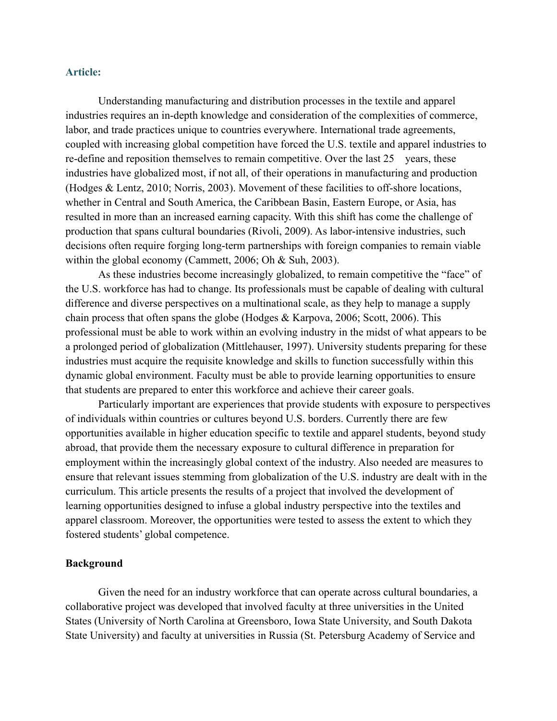### **Article:**

Understanding manufacturing and distribution processes in the textile and apparel industries requires an in-depth knowledge and consideration of the complexities of commerce, labor, and trade practices unique to countries everywhere. International trade agreements, coupled with increasing global competition have forced the U.S. textile and apparel industries to re-define and reposition themselves to remain competitive. Over the last 25 years, these industries have globalized most, if not all, of their operations in manufacturing and production (Hodges & Lentz, 2010; Norris, 2003). Movement of these facilities to off-shore locations, whether in Central and South America, the Caribbean Basin, Eastern Europe, or Asia, has resulted in more than an increased earning capacity. With this shift has come the challenge of production that spans cultural boundaries (Rivoli, 2009). As labor-intensive industries, such decisions often require forging long-term partnerships with foreign companies to remain viable within the global economy (Cammett, 2006; Oh & Suh, 2003).

As these industries become increasingly globalized, to remain competitive the "face" of the U.S. workforce has had to change. Its professionals must be capable of dealing with cultural difference and diverse perspectives on a multinational scale, as they help to manage a supply chain process that often spans the globe (Hodges & Karpova, 2006; Scott, 2006). This professional must be able to work within an evolving industry in the midst of what appears to be a prolonged period of globalization (Mittlehauser, 1997). University students preparing for these industries must acquire the requisite knowledge and skills to function successfully within this dynamic global environment. Faculty must be able to provide learning opportunities to ensure that students are prepared to enter this workforce and achieve their career goals.

Particularly important are experiences that provide students with exposure to perspectives of individuals within countries or cultures beyond U.S. borders. Currently there are few opportunities available in higher education specific to textile and apparel students, beyond study abroad, that provide them the necessary exposure to cultural difference in preparation for employment within the increasingly global context of the industry. Also needed are measures to ensure that relevant issues stemming from globalization of the U.S. industry are dealt with in the curriculum. This article presents the results of a project that involved the development of learning opportunities designed to infuse a global industry perspective into the textiles and apparel classroom. Moreover, the opportunities were tested to assess the extent to which they fostered students' global competence.

### **Background**

Given the need for an industry workforce that can operate across cultural boundaries, a collaborative project was developed that involved faculty at three universities in the United States (University of North Carolina at Greensboro, Iowa State University, and South Dakota State University) and faculty at universities in Russia (St. Petersburg Academy of Service and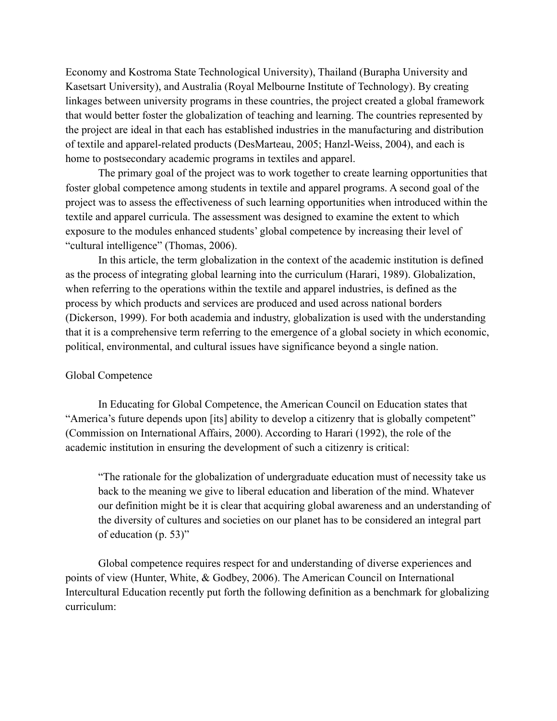Economy and Kostroma State Technological University), Thailand (Burapha University and Kasetsart University), and Australia (Royal Melbourne Institute of Technology). By creating linkages between university programs in these countries, the project created a global framework that would better foster the globalization of teaching and learning. The countries represented by the project are ideal in that each has established industries in the manufacturing and distribution of textile and apparel-related products (DesMarteau, 2005; Hanzl-Weiss, 2004), and each is home to postsecondary academic programs in textiles and apparel.

The primary goal of the project was to work together to create learning opportunities that foster global competence among students in textile and apparel programs. A second goal of the project was to assess the effectiveness of such learning opportunities when introduced within the textile and apparel curricula. The assessment was designed to examine the extent to which exposure to the modules enhanced students' global competence by increasing their level of "cultural intelligence" (Thomas, 2006).

In this article, the term globalization in the context of the academic institution is defined as the process of integrating global learning into the curriculum (Harari, 1989). Globalization, when referring to the operations within the textile and apparel industries, is defined as the process by which products and services are produced and used across national borders (Dickerson, 1999). For both academia and industry, globalization is used with the understanding that it is a comprehensive term referring to the emergence of a global society in which economic, political, environmental, and cultural issues have significance beyond a single nation.

#### Global Competence

In Educating for Global Competence, the American Council on Education states that "America's future depends upon [its] ability to develop a citizenry that is globally competent" (Commission on International Affairs, 2000). According to Harari (1992), the role of the academic institution in ensuring the development of such a citizenry is critical:

"The rationale for the globalization of undergraduate education must of necessity take us back to the meaning we give to liberal education and liberation of the mind. Whatever our definition might be it is clear that acquiring global awareness and an understanding of the diversity of cultures and societies on our planet has to be considered an integral part of education (p. 53)"

Global competence requires respect for and understanding of diverse experiences and points of view (Hunter, White, & Godbey, 2006). The American Council on International Intercultural Education recently put forth the following definition as a benchmark for globalizing curriculum: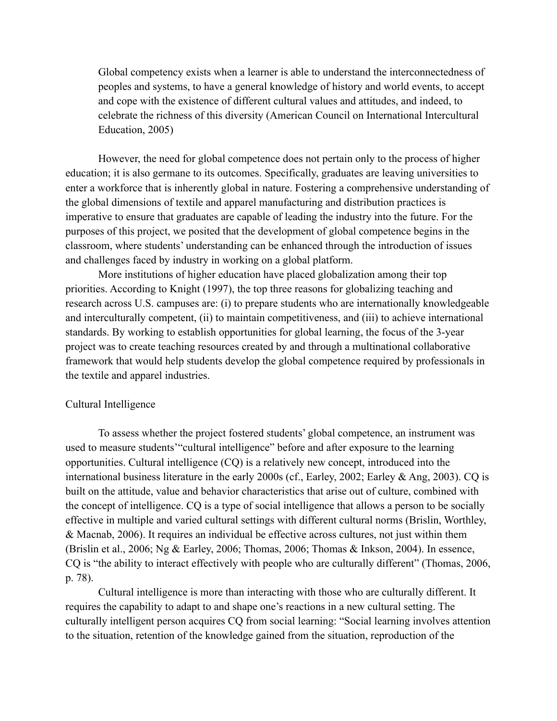Global competency exists when a learner is able to understand the interconnectedness of peoples and systems, to have a general knowledge of history and world events, to accept and cope with the existence of different cultural values and attitudes, and indeed, to celebrate the richness of this diversity (American Council on International Intercultural Education, 2005)

However, the need for global competence does not pertain only to the process of higher education; it is also germane to its outcomes. Specifically, graduates are leaving universities to enter a workforce that is inherently global in nature. Fostering a comprehensive understanding of the global dimensions of textile and apparel manufacturing and distribution practices is imperative to ensure that graduates are capable of leading the industry into the future. For the purposes of this project, we posited that the development of global competence begins in the classroom, where students' understanding can be enhanced through the introduction of issues and challenges faced by industry in working on a global platform.

More institutions of higher education have placed globalization among their top priorities. According to Knight (1997), the top three reasons for globalizing teaching and research across U.S. campuses are: (i) to prepare students who are internationally knowledgeable and interculturally competent, (ii) to maintain competitiveness, and (iii) to achieve international standards. By working to establish opportunities for global learning, the focus of the 3-year project was to create teaching resources created by and through a multinational collaborative framework that would help students develop the global competence required by professionals in the textile and apparel industries.

### Cultural Intelligence

To assess whether the project fostered students' global competence, an instrument was used to measure students'"cultural intelligence" before and after exposure to the learning opportunities. Cultural intelligence (CQ) is a relatively new concept, introduced into the international business literature in the early 2000s (cf., Earley, 2002; Earley & Ang, 2003). CQ is built on the attitude, value and behavior characteristics that arise out of culture, combined with the concept of intelligence. CQ is a type of social intelligence that allows a person to be socially effective in multiple and varied cultural settings with different cultural norms (Brislin, Worthley, & Macnab, 2006). It requires an individual be effective across cultures, not just within them (Brislin et al., 2006; Ng & Earley, 2006; Thomas, 2006; Thomas & Inkson, 2004). In essence, CQ is "the ability to interact effectively with people who are culturally different" (Thomas, 2006, p. 78).

Cultural intelligence is more than interacting with those who are culturally different. It requires the capability to adapt to and shape one's reactions in a new cultural setting. The culturally intelligent person acquires CQ from social learning: "Social learning involves attention to the situation, retention of the knowledge gained from the situation, reproduction of the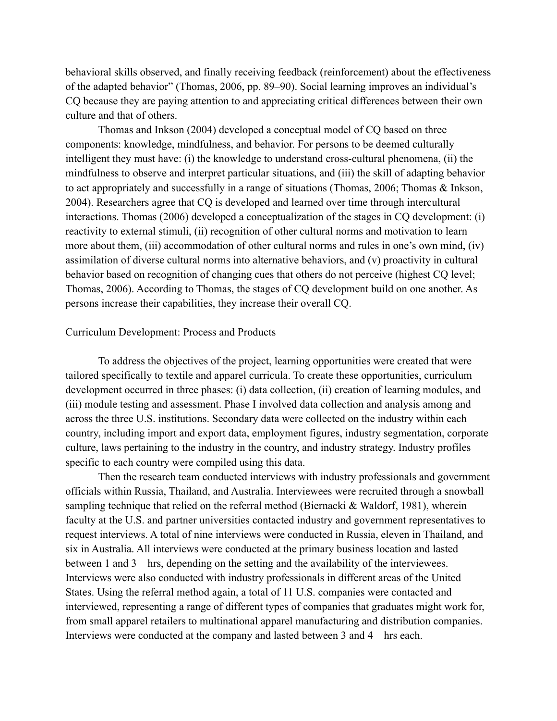behavioral skills observed, and finally receiving feedback (reinforcement) about the effectiveness of the adapted behavior" (Thomas, 2006, pp. 89–90). Social learning improves an individual's CQ because they are paying attention to and appreciating critical differences between their own culture and that of others.

Thomas and Inkson (2004) developed a conceptual model of CQ based on three components: knowledge, mindfulness, and behavior. For persons to be deemed culturally intelligent they must have: (i) the knowledge to understand cross-cultural phenomena, (ii) the mindfulness to observe and interpret particular situations, and (iii) the skill of adapting behavior to act appropriately and successfully in a range of situations (Thomas, 2006; Thomas & Inkson, 2004). Researchers agree that CQ is developed and learned over time through intercultural interactions. Thomas (2006) developed a conceptualization of the stages in CQ development: (i) reactivity to external stimuli, (ii) recognition of other cultural norms and motivation to learn more about them, (iii) accommodation of other cultural norms and rules in one's own mind, (iv) assimilation of diverse cultural norms into alternative behaviors, and (v) proactivity in cultural behavior based on recognition of changing cues that others do not perceive (highest CQ level; Thomas, 2006). According to Thomas, the stages of CQ development build on one another. As persons increase their capabilities, they increase their overall CQ.

#### Curriculum Development: Process and Products

To address the objectives of the project, learning opportunities were created that were tailored specifically to textile and apparel curricula. To create these opportunities, curriculum development occurred in three phases: (i) data collection, (ii) creation of learning modules, and (iii) module testing and assessment. Phase I involved data collection and analysis among and across the three U.S. institutions. Secondary data were collected on the industry within each country, including import and export data, employment figures, industry segmentation, corporate culture, laws pertaining to the industry in the country, and industry strategy. Industry profiles specific to each country were compiled using this data.

Then the research team conducted interviews with industry professionals and government officials within Russia, Thailand, and Australia. Interviewees were recruited through a snowball sampling technique that relied on the referral method (Biernacki & Waldorf, 1981), wherein faculty at the U.S. and partner universities contacted industry and government representatives to request interviews. A total of nine interviews were conducted in Russia, eleven in Thailand, and six in Australia. All interviews were conducted at the primary business location and lasted between 1 and 3 hrs, depending on the setting and the availability of the interviewees. Interviews were also conducted with industry professionals in different areas of the United States. Using the referral method again, a total of 11 U.S. companies were contacted and interviewed, representing a range of different types of companies that graduates might work for, from small apparel retailers to multinational apparel manufacturing and distribution companies. Interviews were conducted at the company and lasted between 3 and 4 hrs each.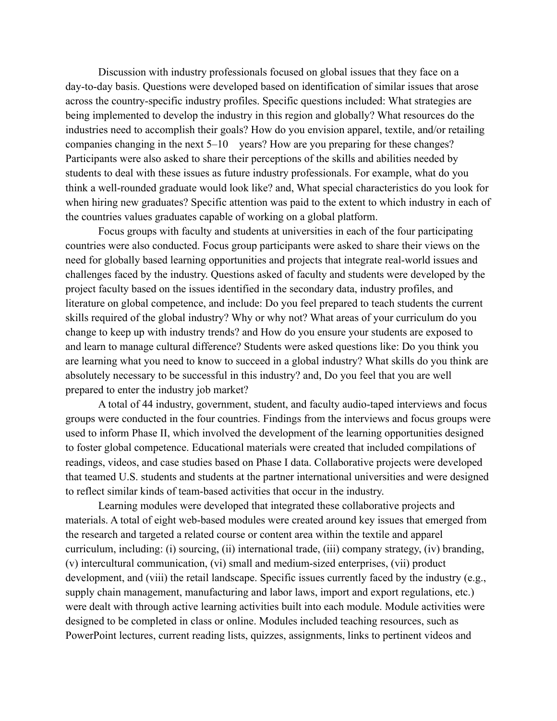Discussion with industry professionals focused on global issues that they face on a day-to-day basis. Questions were developed based on identification of similar issues that arose across the country-specific industry profiles. Specific questions included: What strategies are being implemented to develop the industry in this region and globally? What resources do the industries need to accomplish their goals? How do you envision apparel, textile, and/or retailing companies changing in the next 5–10 years? How are you preparing for these changes? Participants were also asked to share their perceptions of the skills and abilities needed by students to deal with these issues as future industry professionals. For example, what do you think a well-rounded graduate would look like? and, What special characteristics do you look for when hiring new graduates? Specific attention was paid to the extent to which industry in each of the countries values graduates capable of working on a global platform.

Focus groups with faculty and students at universities in each of the four participating countries were also conducted. Focus group participants were asked to share their views on the need for globally based learning opportunities and projects that integrate real-world issues and challenges faced by the industry. Questions asked of faculty and students were developed by the project faculty based on the issues identified in the secondary data, industry profiles, and literature on global competence, and include: Do you feel prepared to teach students the current skills required of the global industry? Why or why not? What areas of your curriculum do you change to keep up with industry trends? and How do you ensure your students are exposed to and learn to manage cultural difference? Students were asked questions like: Do you think you are learning what you need to know to succeed in a global industry? What skills do you think are absolutely necessary to be successful in this industry? and, Do you feel that you are well prepared to enter the industry job market?

A total of 44 industry, government, student, and faculty audio-taped interviews and focus groups were conducted in the four countries. Findings from the interviews and focus groups were used to inform Phase II, which involved the development of the learning opportunities designed to foster global competence. Educational materials were created that included compilations of readings, videos, and case studies based on Phase I data. Collaborative projects were developed that teamed U.S. students and students at the partner international universities and were designed to reflect similar kinds of team-based activities that occur in the industry.

Learning modules were developed that integrated these collaborative projects and materials. A total of eight web-based modules were created around key issues that emerged from the research and targeted a related course or content area within the textile and apparel curriculum, including: (i) sourcing, (ii) international trade, (iii) company strategy, (iv) branding, (v) intercultural communication, (vi) small and medium-sized enterprises, (vii) product development, and (viii) the retail landscape. Specific issues currently faced by the industry (e.g., supply chain management, manufacturing and labor laws, import and export regulations, etc.) were dealt with through active learning activities built into each module. Module activities were designed to be completed in class or online. Modules included teaching resources, such as PowerPoint lectures, current reading lists, quizzes, assignments, links to pertinent videos and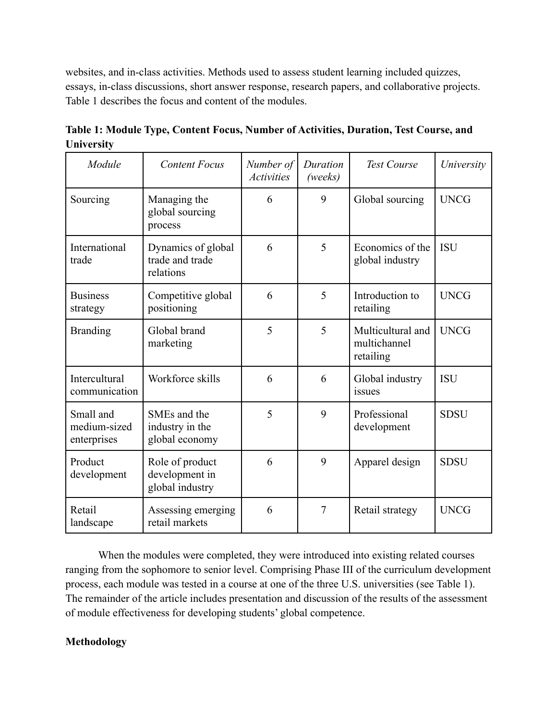websites, and in-class activities. Methods used to assess student learning included quizzes, essays, in-class discussions, short answer response, research papers, and collaborative projects. Table 1 describes the focus and content of the modules.

| Module                                   | <b>Content Focus</b>                                          | Number of<br><b>Activities</b> | Duration<br>(weeks) | <b>Test Course</b>                             | University  |
|------------------------------------------|---------------------------------------------------------------|--------------------------------|---------------------|------------------------------------------------|-------------|
| Sourcing                                 | Managing the<br>global sourcing<br>process                    | 6                              | 9                   | Global sourcing                                | <b>UNCG</b> |
| International<br>trade                   | Dynamics of global<br>trade and trade<br>relations            | 6                              | 5                   | Economics of the<br>global industry            | <b>ISU</b>  |
| <b>Business</b><br>strategy              | Competitive global<br>positioning                             | 6                              | 5                   | Introduction to<br>retailing                   | <b>UNCG</b> |
| <b>Branding</b>                          | Global brand<br>marketing                                     | 5                              | 5                   | Multicultural and<br>multichannel<br>retailing | <b>UNCG</b> |
| Intercultural<br>communication           | Workforce skills                                              | 6                              | 6                   | Global industry<br>issues                      | <b>ISU</b>  |
| Small and<br>medium-sized<br>enterprises | SME <sub>s</sub> and the<br>industry in the<br>global economy | 5                              | 9                   | Professional<br>development                    | <b>SDSU</b> |
| Product<br>development                   | Role of product<br>development in<br>global industry          | 6                              | 9                   | Apparel design                                 | <b>SDSU</b> |
| Retail<br>landscape                      | Assessing emerging<br>retail markets                          | 6                              | $\tau$              | Retail strategy                                | <b>UNCG</b> |

**Table 1: Module Type, Content Focus, Number of Activities, Duration, Test Course, and University**

When the modules were completed, they were introduced into existing related courses ranging from the sophomore to senior level. Comprising Phase III of the curriculum development process, each module was tested in a course at one of the three U.S. universities (see Table 1). The remainder of the article includes presentation and discussion of the results of the assessment of module effectiveness for developing students' global competence.

### **Methodology**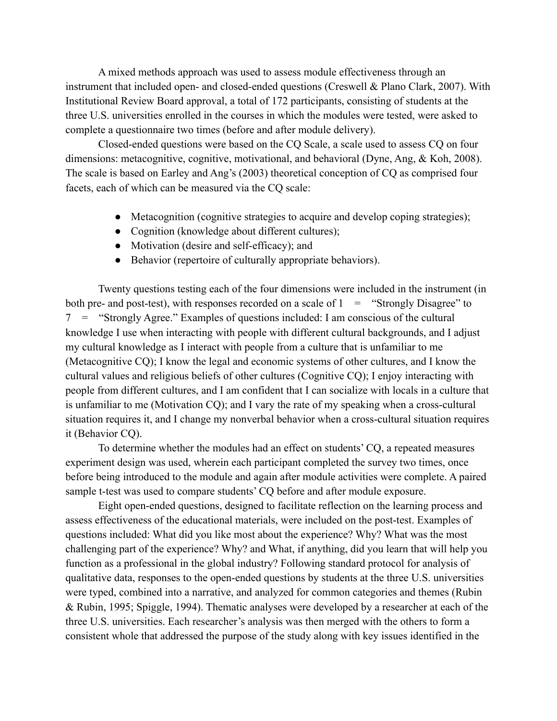A mixed methods approach was used to assess module effectiveness through an instrument that included open- and closed-ended questions (Creswell & Plano Clark, 2007). With Institutional Review Board approval, a total of 172 participants, consisting of students at the three U.S. universities enrolled in the courses in which the modules were tested, were asked to complete a questionnaire two times (before and after module delivery).

Closed-ended questions were based on the CQ Scale, a scale used to assess CQ on four dimensions: metacognitive, cognitive, motivational, and behavioral (Dyne, Ang, & Koh, 2008). The scale is based on Earley and Ang's (2003) theoretical conception of CQ as comprised four facets, each of which can be measured via the CQ scale:

- Metacognition (cognitive strategies to acquire and develop coping strategies);
- Cognition (knowledge about different cultures);
- Motivation (desire and self-efficacy); and
- Behavior (repertoire of culturally appropriate behaviors).

Twenty questions testing each of the four dimensions were included in the instrument (in both pre- and post-test), with responses recorded on a scale of  $1 \equiv$  "Strongly Disagree" to 7 = "Strongly Agree." Examples of questions included: I am conscious of the cultural knowledge I use when interacting with people with different cultural backgrounds, and I adjust my cultural knowledge as I interact with people from a culture that is unfamiliar to me (Metacognitive CQ); I know the legal and economic systems of other cultures, and I know the cultural values and religious beliefs of other cultures (Cognitive CQ); I enjoy interacting with people from different cultures, and I am confident that I can socialize with locals in a culture that is unfamiliar to me (Motivation CQ); and I vary the rate of my speaking when a cross-cultural situation requires it, and I change my nonverbal behavior when a cross-cultural situation requires it (Behavior CQ).

To determine whether the modules had an effect on students' CQ, a repeated measures experiment design was used, wherein each participant completed the survey two times, once before being introduced to the module and again after module activities were complete. A paired sample t-test was used to compare students' CQ before and after module exposure.

Eight open-ended questions, designed to facilitate reflection on the learning process and assess effectiveness of the educational materials, were included on the post-test. Examples of questions included: What did you like most about the experience? Why? What was the most challenging part of the experience? Why? and What, if anything, did you learn that will help you function as a professional in the global industry? Following standard protocol for analysis of qualitative data, responses to the open-ended questions by students at the three U.S. universities were typed, combined into a narrative, and analyzed for common categories and themes (Rubin & Rubin, 1995; Spiggle, 1994). Thematic analyses were developed by a researcher at each of the three U.S. universities. Each researcher's analysis was then merged with the others to form a consistent whole that addressed the purpose of the study along with key issues identified in the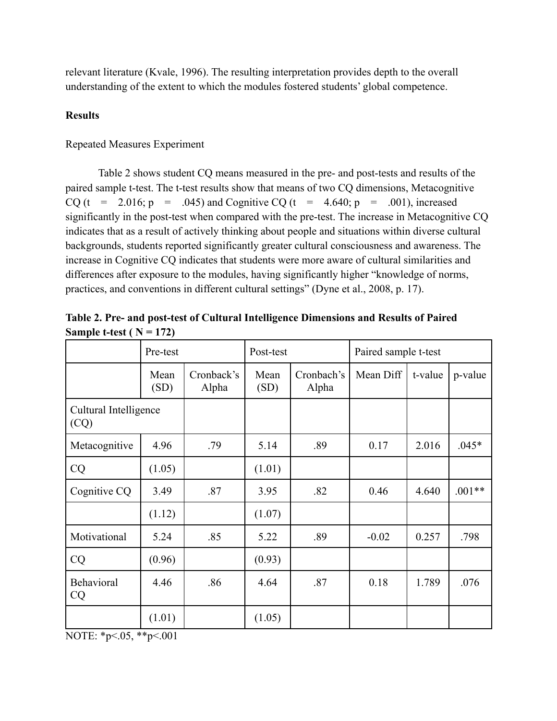relevant literature (Kvale, 1996). The resulting interpretation provides depth to the overall understanding of the extent to which the modules fostered students' global competence.

### **Results**

## Repeated Measures Experiment

Table 2 shows student CQ means measured in the pre- and post-tests and results of the paired sample t-test. The t-test results show that means of two CQ dimensions, Metacognitive  $CQ(t = 2.016; p = .045)$  and Cognitive  $CQ(t = 4.640; p = .001)$ , increased significantly in the post-test when compared with the pre-test. The increase in Metacognitive CQ indicates that as a result of actively thinking about people and situations within diverse cultural backgrounds, students reported significantly greater cultural consciousness and awareness. The increase in Cognitive CQ indicates that students were more aware of cultural similarities and differences after exposure to the modules, having significantly higher "knowledge of norms, practices, and conventions in different cultural settings" (Dyne et al., 2008, p. 17).

|                               | Pre-test     |                     | Post-test    |                     | Paired sample t-test |         |          |
|-------------------------------|--------------|---------------------|--------------|---------------------|----------------------|---------|----------|
|                               | Mean<br>(SD) | Cronback's<br>Alpha | Mean<br>(SD) | Cronbach's<br>Alpha | Mean Diff            | t-value | p-value  |
| Cultural Intelligence<br>(CQ) |              |                     |              |                     |                      |         |          |
| Metacognitive                 | 4.96         | .79                 | 5.14         | .89                 | 0.17                 | 2.016   | $.045*$  |
| CQ                            | (1.05)       |                     | (1.01)       |                     |                      |         |          |
| Cognitive CQ                  | 3.49         | .87                 | 3.95         | .82                 | 0.46                 | 4.640   | $.001**$ |
|                               | (1.12)       |                     | (1.07)       |                     |                      |         |          |
| Motivational                  | 5.24         | .85                 | 5.22         | .89                 | $-0.02$              | 0.257   | .798     |
| CQ                            | (0.96)       |                     | (0.93)       |                     |                      |         |          |
| Behavioral<br><b>CQ</b>       | 4.46         | .86                 | 4.64         | .87                 | 0.18                 | 1.789   | .076     |
|                               | (1.01)       |                     | (1.05)       |                     |                      |         |          |

**Table 2. Pre- and post-test of Cultural Intelligence Dimensions and Results of Paired Sample t-test ( N = 172)**

NOTE: \*p<.05, \*\*p<.001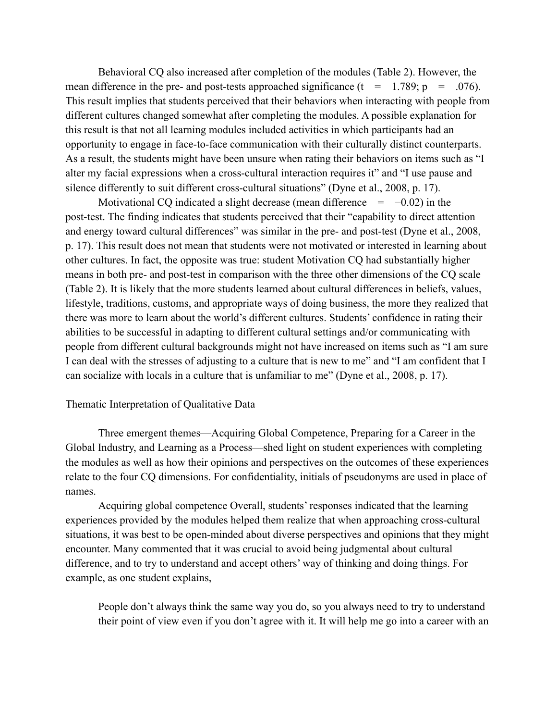Behavioral CQ also increased after completion of the modules (Table 2). However, the mean difference in the pre- and post-tests approached significance (t =  $1.789$ ; p = .076). This result implies that students perceived that their behaviors when interacting with people from different cultures changed somewhat after completing the modules. A possible explanation for this result is that not all learning modules included activities in which participants had an opportunity to engage in face-to-face communication with their culturally distinct counterparts. As a result, the students might have been unsure when rating their behaviors on items such as "I alter my facial expressions when a cross-cultural interaction requires it" and "I use pause and silence differently to suit different cross-cultural situations" (Dyne et al., 2008, p. 17).

Motivational CQ indicated a slight decrease (mean difference  $= -0.02$ ) in the post-test. The finding indicates that students perceived that their "capability to direct attention and energy toward cultural differences" was similar in the pre- and post-test (Dyne et al., 2008, p. 17). This result does not mean that students were not motivated or interested in learning about other cultures. In fact, the opposite was true: student Motivation CQ had substantially higher means in both pre- and post-test in comparison with the three other dimensions of the CQ scale (Table 2). It is likely that the more students learned about cultural differences in beliefs, values, lifestyle, traditions, customs, and appropriate ways of doing business, the more they realized that there was more to learn about the world's different cultures. Students' confidence in rating their abilities to be successful in adapting to different cultural settings and/or communicating with people from different cultural backgrounds might not have increased on items such as "I am sure I can deal with the stresses of adjusting to a culture that is new to me" and "I am confident that I can socialize with locals in a culture that is unfamiliar to me" (Dyne et al., 2008, p. 17).

### Thematic Interpretation of Qualitative Data

Three emergent themes—Acquiring Global Competence, Preparing for a Career in the Global Industry, and Learning as a Process—shed light on student experiences with completing the modules as well as how their opinions and perspectives on the outcomes of these experiences relate to the four CQ dimensions. For confidentiality, initials of pseudonyms are used in place of names.

Acquiring global competence Overall, students' responses indicated that the learning experiences provided by the modules helped them realize that when approaching cross-cultural situations, it was best to be open-minded about diverse perspectives and opinions that they might encounter. Many commented that it was crucial to avoid being judgmental about cultural difference, and to try to understand and accept others' way of thinking and doing things. For example, as one student explains,

People don't always think the same way you do, so you always need to try to understand their point of view even if you don't agree with it. It will help me go into a career with an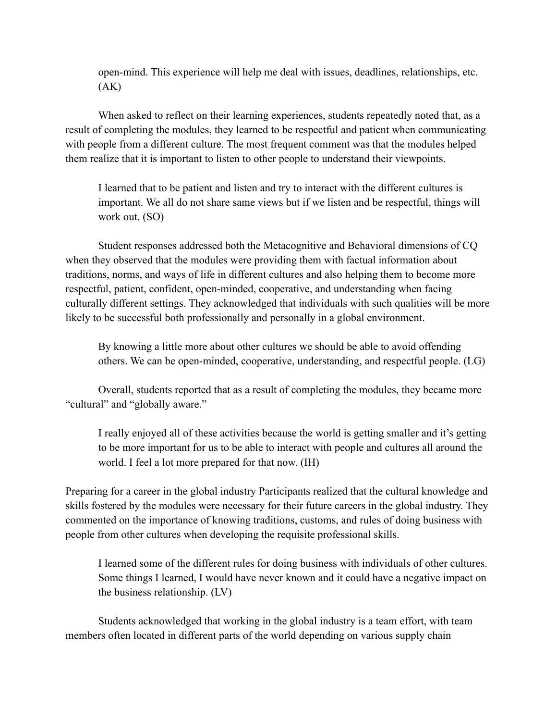open-mind. This experience will help me deal with issues, deadlines, relationships, etc.  $(AK)$ 

When asked to reflect on their learning experiences, students repeatedly noted that, as a result of completing the modules, they learned to be respectful and patient when communicating with people from a different culture. The most frequent comment was that the modules helped them realize that it is important to listen to other people to understand their viewpoints.

I learned that to be patient and listen and try to interact with the different cultures is important. We all do not share same views but if we listen and be respectful, things will work out. (SO)

Student responses addressed both the Metacognitive and Behavioral dimensions of CQ when they observed that the modules were providing them with factual information about traditions, norms, and ways of life in different cultures and also helping them to become more respectful, patient, confident, open-minded, cooperative, and understanding when facing culturally different settings. They acknowledged that individuals with such qualities will be more likely to be successful both professionally and personally in a global environment.

By knowing a little more about other cultures we should be able to avoid offending others. We can be open-minded, cooperative, understanding, and respectful people. (LG)

Overall, students reported that as a result of completing the modules, they became more "cultural" and "globally aware."

I really enjoyed all of these activities because the world is getting smaller and it's getting to be more important for us to be able to interact with people and cultures all around the world. I feel a lot more prepared for that now. (IH)

Preparing for a career in the global industry Participants realized that the cultural knowledge and skills fostered by the modules were necessary for their future careers in the global industry. They commented on the importance of knowing traditions, customs, and rules of doing business with people from other cultures when developing the requisite professional skills.

I learned some of the different rules for doing business with individuals of other cultures. Some things I learned, I would have never known and it could have a negative impact on the business relationship. (LV)

Students acknowledged that working in the global industry is a team effort, with team members often located in different parts of the world depending on various supply chain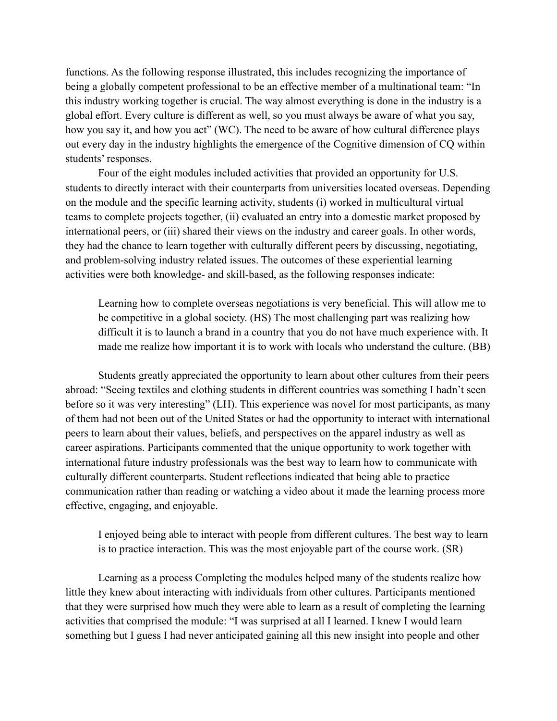functions. As the following response illustrated, this includes recognizing the importance of being a globally competent professional to be an effective member of a multinational team: "In this industry working together is crucial. The way almost everything is done in the industry is a global effort. Every culture is different as well, so you must always be aware of what you say, how you say it, and how you act" (WC). The need to be aware of how cultural difference plays out every day in the industry highlights the emergence of the Cognitive dimension of CQ within students' responses.

Four of the eight modules included activities that provided an opportunity for U.S. students to directly interact with their counterparts from universities located overseas. Depending on the module and the specific learning activity, students (i) worked in multicultural virtual teams to complete projects together, (ii) evaluated an entry into a domestic market proposed by international peers, or (iii) shared their views on the industry and career goals. In other words, they had the chance to learn together with culturally different peers by discussing, negotiating, and problem-solving industry related issues. The outcomes of these experiential learning activities were both knowledge- and skill-based, as the following responses indicate:

Learning how to complete overseas negotiations is very beneficial. This will allow me to be competitive in a global society. (HS) The most challenging part was realizing how difficult it is to launch a brand in a country that you do not have much experience with. It made me realize how important it is to work with locals who understand the culture. (BB)

Students greatly appreciated the opportunity to learn about other cultures from their peers abroad: "Seeing textiles and clothing students in different countries was something I hadn't seen before so it was very interesting" (LH). This experience was novel for most participants, as many of them had not been out of the United States or had the opportunity to interact with international peers to learn about their values, beliefs, and perspectives on the apparel industry as well as career aspirations. Participants commented that the unique opportunity to work together with international future industry professionals was the best way to learn how to communicate with culturally different counterparts. Student reflections indicated that being able to practice communication rather than reading or watching a video about it made the learning process more effective, engaging, and enjoyable.

I enjoyed being able to interact with people from different cultures. The best way to learn is to practice interaction. This was the most enjoyable part of the course work. (SR)

Learning as a process Completing the modules helped many of the students realize how little they knew about interacting with individuals from other cultures. Participants mentioned that they were surprised how much they were able to learn as a result of completing the learning activities that comprised the module: "I was surprised at all I learned. I knew I would learn something but I guess I had never anticipated gaining all this new insight into people and other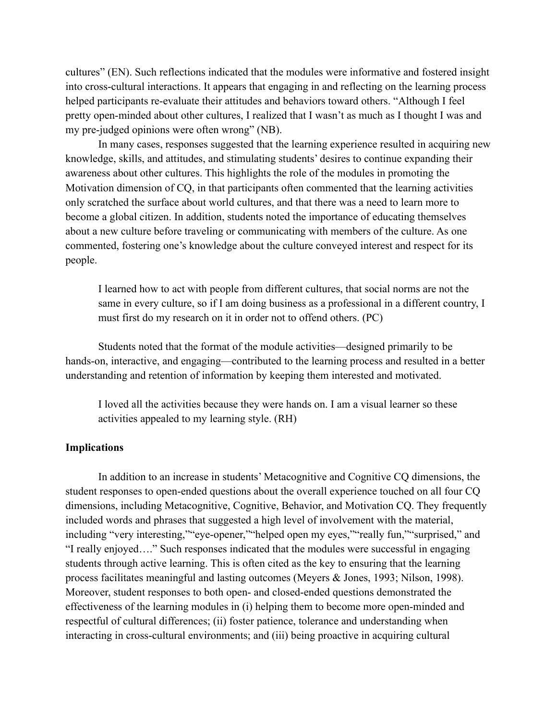cultures" (EN). Such reflections indicated that the modules were informative and fostered insight into cross-cultural interactions. It appears that engaging in and reflecting on the learning process helped participants re-evaluate their attitudes and behaviors toward others. "Although I feel pretty open-minded about other cultures, I realized that I wasn't as much as I thought I was and my pre-judged opinions were often wrong" (NB).

In many cases, responses suggested that the learning experience resulted in acquiring new knowledge, skills, and attitudes, and stimulating students' desires to continue expanding their awareness about other cultures. This highlights the role of the modules in promoting the Motivation dimension of CQ, in that participants often commented that the learning activities only scratched the surface about world cultures, and that there was a need to learn more to become a global citizen. In addition, students noted the importance of educating themselves about a new culture before traveling or communicating with members of the culture. As one commented, fostering one's knowledge about the culture conveyed interest and respect for its people.

I learned how to act with people from different cultures, that social norms are not the same in every culture, so if I am doing business as a professional in a different country, I must first do my research on it in order not to offend others. (PC)

Students noted that the format of the module activities—designed primarily to be hands-on, interactive, and engaging—contributed to the learning process and resulted in a better understanding and retention of information by keeping them interested and motivated.

I loved all the activities because they were hands on. I am a visual learner so these activities appealed to my learning style. (RH)

### **Implications**

In addition to an increase in students' Metacognitive and Cognitive CQ dimensions, the student responses to open-ended questions about the overall experience touched on all four CQ dimensions, including Metacognitive, Cognitive, Behavior, and Motivation CQ. They frequently included words and phrases that suggested a high level of involvement with the material, including "very interesting,""eye-opener,""helped open my eyes,""really fun,""surprised," and "I really enjoyed…." Such responses indicated that the modules were successful in engaging students through active learning. This is often cited as the key to ensuring that the learning process facilitates meaningful and lasting outcomes (Meyers & Jones, 1993; Nilson, 1998). Moreover, student responses to both open- and closed-ended questions demonstrated the effectiveness of the learning modules in (i) helping them to become more open-minded and respectful of cultural differences; (ii) foster patience, tolerance and understanding when interacting in cross-cultural environments; and (iii) being proactive in acquiring cultural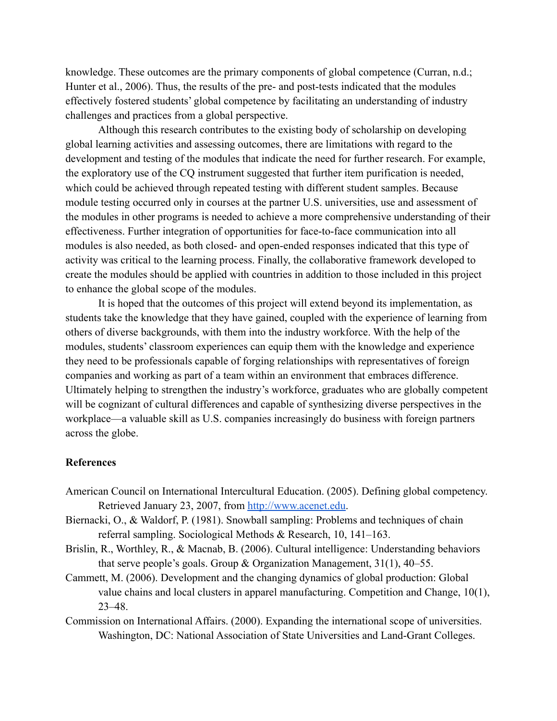knowledge. These outcomes are the primary components of global competence (Curran, n.d.; Hunter et al., 2006). Thus, the results of the pre- and post-tests indicated that the modules effectively fostered students' global competence by facilitating an understanding of industry challenges and practices from a global perspective.

Although this research contributes to the existing body of scholarship on developing global learning activities and assessing outcomes, there are limitations with regard to the development and testing of the modules that indicate the need for further research. For example, the exploratory use of the CQ instrument suggested that further item purification is needed, which could be achieved through repeated testing with different student samples. Because module testing occurred only in courses at the partner U.S. universities, use and assessment of the modules in other programs is needed to achieve a more comprehensive understanding of their effectiveness. Further integration of opportunities for face-to-face communication into all modules is also needed, as both closed- and open-ended responses indicated that this type of activity was critical to the learning process. Finally, the collaborative framework developed to create the modules should be applied with countries in addition to those included in this project to enhance the global scope of the modules.

It is hoped that the outcomes of this project will extend beyond its implementation, as students take the knowledge that they have gained, coupled with the experience of learning from others of diverse backgrounds, with them into the industry workforce. With the help of the modules, students' classroom experiences can equip them with the knowledge and experience they need to be professionals capable of forging relationships with representatives of foreign companies and working as part of a team within an environment that embraces difference. Ultimately helping to strengthen the industry's workforce, graduates who are globally competent will be cognizant of cultural differences and capable of synthesizing diverse perspectives in the workplace—a valuable skill as U.S. companies increasingly do business with foreign partners across the globe.

### **References**

- American Council on International Intercultural Education. (2005). Defining global competency. Retrieved January 23, 2007, from <http://www.acenet.edu>.
- Biernacki, O., & Waldorf, P. (1981). Snowball sampling: Problems and techniques of chain referral sampling. Sociological Methods & Research, 10, 141–163.
- Brislin, R., Worthley, R., & Macnab, B. (2006). Cultural intelligence: Understanding behaviors that serve people's goals. Group & Organization Management, 31(1), 40–55.
- Cammett, M. (2006). Development and the changing dynamics of global production: Global value chains and local clusters in apparel manufacturing. Competition and Change, 10(1), 23–48.
- Commission on International Affairs. (2000). Expanding the international scope of universities. Washington, DC: National Association of State Universities and Land-Grant Colleges.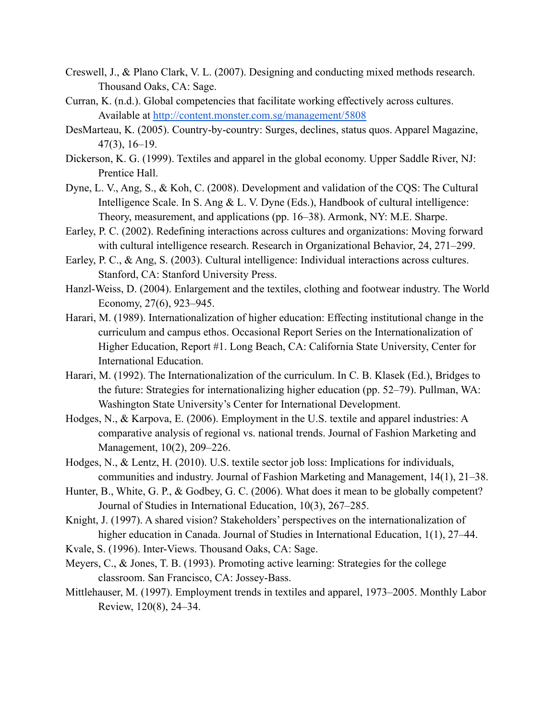- Creswell, J., & Plano Clark, V. L. (2007). Designing and conducting mixed methods research. Thousand Oaks, CA: Sage.
- Curran, K. (n.d.). Global competencies that facilitate working effectively across cultures. Available at <http://content.monster.com.sg/management/5808>
- DesMarteau, K. (2005). Country-by-country: Surges, declines, status quos. Apparel Magazine, 47(3), 16–19.
- Dickerson, K. G. (1999). Textiles and apparel in the global economy. Upper Saddle River, NJ: Prentice Hall.
- Dyne, L. V., Ang, S., & Koh, C. (2008). Development and validation of the CQS: The Cultural Intelligence Scale. In S. Ang & L. V. Dyne (Eds.), Handbook of cultural intelligence: Theory, measurement, and applications (pp. 16–38). Armonk, NY: M.E. Sharpe.
- Earley, P. C. (2002). Redefining interactions across cultures and organizations: Moving forward with cultural intelligence research. Research in Organizational Behavior, 24, 271–299.
- Earley, P. C., & Ang, S. (2003). Cultural intelligence: Individual interactions across cultures. Stanford, CA: Stanford University Press.
- Hanzl-Weiss, D. (2004). Enlargement and the textiles, clothing and footwear industry. The World Economy, 27(6), 923–945.
- Harari, M. (1989). Internationalization of higher education: Effecting institutional change in the curriculum and campus ethos. Occasional Report Series on the Internationalization of Higher Education, Report #1. Long Beach, CA: California State University, Center for International Education.
- Harari, M. (1992). The Internationalization of the curriculum. In C. B. Klasek (Ed.), Bridges to the future: Strategies for internationalizing higher education (pp. 52–79). Pullman, WA: Washington State University's Center for International Development.
- Hodges, N., & Karpova, E. (2006). Employment in the U.S. textile and apparel industries: A comparative analysis of regional vs. national trends. Journal of Fashion Marketing and Management, 10(2), 209–226.
- Hodges, N., & Lentz, H. (2010). U.S. textile sector job loss: Implications for individuals, communities and industry. Journal of Fashion Marketing and Management, 14(1), 21–38.
- Hunter, B., White, G. P., & Godbey, G. C. (2006). What does it mean to be globally competent? Journal of Studies in International Education, 10(3), 267–285.
- Knight, J. (1997). A shared vision? Stakeholders' perspectives on the internationalization of higher education in Canada. Journal of Studies in International Education, 1(1), 27–44.
- Kvale, S. (1996). Inter-Views. Thousand Oaks, CA: Sage.
- Meyers, C., & Jones, T. B. (1993). Promoting active learning: Strategies for the college classroom. San Francisco, CA: Jossey-Bass.
- Mittlehauser, M. (1997). Employment trends in textiles and apparel, 1973–2005. Monthly Labor Review, 120(8), 24–34.